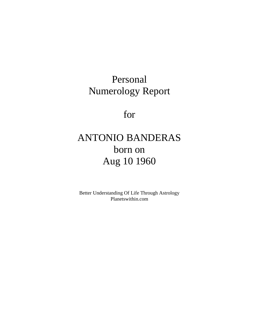# Personal Numerology Report

for

# ANTONIO BANDERAS born on Aug 10 1960

Better Understanding Of Life Through Astrology Planetswithin.com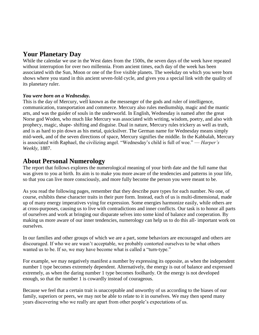# **Your Planetary Day**

While the calendar we use in the West dates from the 1500s, the seven days of the week have repeated without interruption for over two millennia. From ancient times, each day of the week has been associated with the Sun, Moon or one of the five visible planets. The weekday on which you were born shows where you stand in this ancient seven-fold cycle, and gives you a special link with the quality of its planetary ruler.

#### *You were born on a Wednesday.*

This is the day of Mercury, well known as the messenger of the gods and ruler of intelligence, communication, transportation and commerce. Mercury also rules mediumship, magic and the mantic arts, and was the guider of souls in the underworld. In English, Wednesday is named after the great Norse god Woden, who much like Mercury was associated with writing, wisdom, poetry, and also with prophecy, magic, shape- shifting and disguise. Dual in nature, Mercury rules trickery as well as truth, and is as hard to pin down as his metal, quicksilver. The German name for Wednesday means simply mid-week, and of the seven directions of space, Mercury signifies the middle. In the Kabbalah, Mercury is associated with Raphael, the civilizing angel. "Wednesday's child is full of woe." — *Harper's Weekly,* 1887.

### **About Personal Numerology**

The report that follows explores the numerological meaning of your birth date and the full name that was given to you at birth. Its aim is to make you more aware of the tendencies and patterns in your life, so that you can live more consciously, and more fully become the person you were meant to be.

As you read the following pages, remember that they describe pure types for each number. No one, of course, exhibits these character traits in their pure form. Instead, each of us is multi-dimensional, made up of many energy imperatives vying for expression. Some energies harmonize easily, while others are at cross-purposes, causing us to live with contradictions and inner conflicts. Our task is to honor all parts of ourselves and work at bringing our disparate selves into some kind of balance and cooperation. By making us more aware of our inner tendencies, numerology can help us to do this all- important work on ourselves.

In our families and other groups of which we are a part, some behaviors are encouraged and others are discouraged. If who we are wasn't acceptable, we probably contorted ourselves to be what others wanted us to be. If so, we may have become what is called a "turn-type."

For example, we may negatively manifest a number by expressing its opposite, as when the independent number 1 type becomes extremely dependent. Alternatively, the energy is out of balance and expressed extremely, as when the daring number 1 type becomes foolhardy. Or the energy is not developed enough, so that the number 1 is cowardly instead of courageous.

Because we feel that a certain trait is unacceptable and unworthy of us according to the biases of our family, superiors or peers, we may not be able to relate to it in ourselves. We may then spend many years discovering who we really are apart from other people's expectations of us.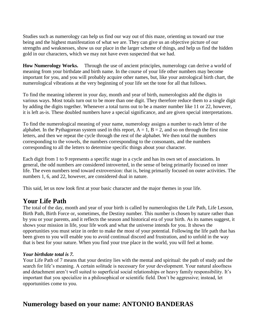Studies such as numerology can help us find our way out of this maze, orienting us toward our true being and the highest manifestation of what we are. They can give us an objective picture of our strengths and weaknesses, show us our place in the larger scheme of things, and help us find the hidden gold in our characters, which we may not have even suspected that we had.

**How Numerology Works.** Through the use of ancient principles, numerology can derive a world of meaning from your birthdate and birth name. In the course of your life other numbers may become important for you, and you will probably acquire other names, but, like your astrological birth chart, the numerological vibrations at the very beginning of your life set the tone for all that follows.

To find the meaning inherent in your day, month and year of birth, numerologists add the digits in various ways. Most totals turn out to be more than one digit. They therefore reduce them to a single digit by adding the digits together. Whenever a total turns out to be a master number like 11 or 22, however, it is left as-is. These doubled numbers have a special significance, and are given special interpretations.

To find the numerological meaning of your name, numerology assigns a number to each letter of the alphabet. In the Pythagorean system used in this report,  $A = 1$ ,  $B = 2$ , and so on through the first nine letters, and then we repeat the cycle through the rest of the alphabet. We then total the numbers corresponding to the vowels, the numbers corresponding to the consonants, and the numbers corresponding to all the letters to determine specific things about your character.

Each digit from 1 to 9 represents a specific stage in a cycle and has its own set of associations. In general, the odd numbers are considered introverted, in the sense of being primarily focused on inner life. The even numbers tend toward extroversion: that is, being primarily focused on outer activities. The numbers 1, 6, and 22, however, are considered dual in nature.

This said, let us now look first at your basic character and the major themes in your life.

### **Your Life Path**

The total of the day, month and year of your birth is called by numerologists the Life Path, Life Lesson, Birth Path, Birth Force or, sometimes, the Destiny number. This number is chosen by nature rather than by you or your parents, and it reflects the season and historical era of your birth. As its names suggest, it shows your mission in life, your life work and what the universe intends for you. It shows the opportunities you must seize in order to make the most of your potential. Following the life path that has been given to you will enable you to avoid continual discord and frustration, and to unfold in the way that is best for your nature. When you find your true place in the world, you will feel at home.

#### *Your birthdate total is 7.*

Your Life Path of 7 means that your destiny lies with the mental and spiritual: the path of study and the search for life's meaning. A certain solitude is necessary for your development. Your natural aloofness and detachment aren't well suited to superficial social relationships or heavy family responsibility. It's important that you specialize in a philosophical or scientific field. Don't be aggressive; instead, let opportunities come to you.

# **Numerology based on your name: ANTONIO BANDERAS**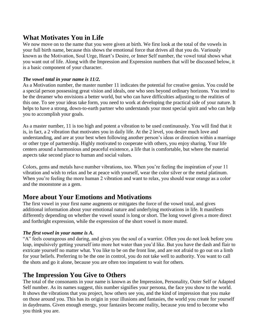# **What Motivates You in Life**

We now move on to the name that you were given at birth. We first look at the total of the vowels in your full birth name, because this shows the emotional force that drives all that you do. Variously known as the Motivation, Soul Urge, Heart's Desire, or Inner Self number, the vowel total shows what you want out of life. Along with the Impression and Expression numbers that will be discussed below, it is a basic component of your character.

#### *The vowel total in your name is 11/2.*

As a Motivation number, the master number 11 indicates the potential for creative genius. You could be a special person possessing great vision and ideals, one who sees beyond ordinary horizons. You tend to be the dreamer who envisions a better world, but who can have difficulties adjusting to the realities of this one. To see your ideas take form, you need to work at developing the practical side of your nature. It helps to have a strong, down-to-earth partner who understands your most special spirit and who can help you to accomplish your goals.

As a master number, 11 is too high and potent a vibration to be used continuously. You will find that it is, in fact, a 2 vibration that motivates you in daily life. At the 2 level, you desire much love and understanding, and are at your best when following another person's ideas or direction within a marriage or other type of partnership. Highly motivated to cooperate with others, you enjoy sharing. Your life centers around a harmonious and peaceful existence, a life that is comfortable, but where the material aspects take second place to human and social values.

Colors, gems and metals have number vibrations, too. When you're feeling the inspiration of your 11 vibration and wish to relax and be at peace with yourself, wear the color silver or the metal platinum. When you're feeling the more human 2 vibration and want to relax, you should wear orange as a color and the moonstone as a gem.

### **More about Your Emotions and Motivations**

The first vowel in your first name augments or mitigates the force of the vowel total, and gives additional information about your emotional nature and underlying motivations in life. It manifests differently depending on whether the vowel sound is long or short. The long vowel gives a more direct and forthright expression, while the expression of the short vowel is more muted.

#### *The first vowel in your name is A.*

"A" feels courageous and daring, and gives you the soul of a warrior. Often you do not look before you leap, impulsively getting yourself into more hot water than you'd like. But you have the dash and flair to extricate yourself no matter what. You like to be on the front line, and are not afraid to go out on a limb for your beliefs. Preferring to be the one in control, you do not take well to authority. You want to call the shots and go it alone, because you are often too impatient to wait for others.

### **The Impression You Give to Others**

The total of the consonants in your name is known as the Impression, Personality, Outer Self or Adapted Self number. As its names suggest, this number signifies your persona, the face you show to the world. It shows the vibrations that you project, how others see you, and the kind of impression that you make on those around you. This has its origin in your illusions and fantasies, the world you create for yourself in daydreams. Given enough energy, your fantasies become reality, because you tend to become who you think you are.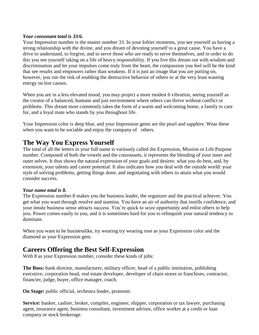#### *Your consonant total is 33/6.*

Your Impression number is the master number 33. In your loftier moments, you see yourself as having a strong relationship with the divine, and you dream of devoting yourself to a great cause. You have a drive to understand, to forgive, and to serve those who are ready to serve themselves, and in order to do this you see yourself taking on a life of heavy responsibility. If you live this dream out with wisdom and discrimination and let your impulses come truly from the heart, the compassion you feel will be the kind that see results and empowers rather than weakens. If it is just an image that you are putting on, however, you run the risk of enabling the destructive behavior of others or at the very least wasting energy on lost causes.

When you are in a less elevated mood, you may project a more modest 6 vibration, seeing yourself as the creator of a balanced, humane and just environment where others can thrive without conflict or problems. This dream most commonly takes the form of a warm and welcoming home, a family to care for, and a loyal mate who stands by you throughout life.

Your Impression color is deep blue, and your Impression gems are the pearl and sapphire. Wear these when you want to be sociable and enjoy the company of others.

### **The Way You Express Yourself**

The total of all the letters in your full name is variously called the Expression, Mission or Life Purpose number. Composed of both the vowels and the consonants, it represents the blending of your inner and outer selves. It thus shows the natural expression of your goals and desires: what you do best, and, by extension, your talents and career potential. It also indicates how you deal with the outside world: your style of solving problems, getting things done, and negotiating with others to attain what you would consider success.

#### *Your name total is 8.*

The Expression number 8 makes you the business leader, the organizer and the practical achiever. You get what you want through resolve and stamina. You have an air of authority that instills confidence, and your innate business sense attracts success. You're quick to seize opportunity and enlist others to help you. Power comes easily to you, and it is sometimes hard for you to relinquish your natural tendency to dominate.

When you want to be businesslike, try wearing try wearing rose as your Expression color and the diamond as your Expression gem.

## **Careers Offering the Best Self-Expression**

With 8 as your Expression number, consider these kinds of jobs:

**The Boss:** bank director, manufacturer, military officer, head of a public institution, publishing executive, corporation head, real estate developer, developer of chain stores or franchises, contractor, financier, judge, buyer, office manager, coach.

**On Stage:** public official, orchestra leader, promoter.

**Service:** banker, cashier, broker, compiler, engineer, shipper, corporation or tax lawyer, purchasing agent, insurance agent, business consultant, investment advisor, office worker at a credit or loan company or stock brokerage.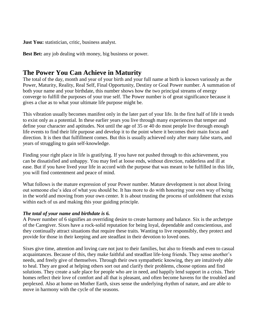**Just You:** statistician, critic, business analyst.

**Best Bet:** any job dealing with money, big business or power.

## **The Power You Can Achieve in Maturity**

The total of the day, month and year of your birth and your full name at birth is known variously as the Power, Maturity, Reality, Real Self, Final Opportunity, Destiny or Goal Power number. A summation of both your name and your birthdate, this number shows how the two principal streams of energy converge to fulfill the purposes of your true self. The Power number is of great significance because it gives a clue as to what your ultimate life purpose might be.

This vibration usually becomes manifest only in the later part of your life. In the first half of life it tends to exist only as a potential. In these earlier years you live through many experiences that temper and define your character and aptitudes. Not until the age of 35 or 40 do most people live through enough life events to find their life purpose and develop it to the point where it becomes their main focus and direction. It is then that fulfillment comes. But this is usually achieved only after many false starts, and years of struggling to gain self-knowledge.

Finding your right place in life is gratifying. If you have not pushed through to this achievement, you can be dissatisfied and unhappy. You may feel at loose ends, without direction, rudderless and ill at ease. But if you have lived your life in accord with the purpose that was meant to be fulfilled in this life, you will find contentment and peace of mind.

What follows is the mature expression of your Power number. Mature development is not about living out someone else's idea of what you should be. It has more to do with honoring your own way of being in the world and moving from your own center. It is about trusting the process of unfoldment that exists within each of us and making this your guiding principle.

#### *The total of your name and birthdate is 6.*

A Power number of 6 signifies an overriding desire to create harmony and balance. Six is the archetype of the Caregiver. Sixes have a rock-solid reputation for being loyal, dependable and conscientious, and they continually attract situations that require these traits. Wanting to live responsibly, they protect and provide for those in their keeping and are steadfast in their devotion to loved ones.

Sixes give time, attention and loving care not just to their families, but also to friends and even to casual acquaintances. Because of this, they make faithful and steadfast life-long friends. They sense another's needs, and freely give of themselves. Through their own sympathetic knowing, they are intuitively able to heal. They are good at helping others sort out and clarify their problems, choose options and find solutions. They create a safe place for people who are in need, and happily lend support in a crisis. Their homes reflect their love of comfort and all that is pleasant, and often become havens for the troubled and perplexed. Also at home on Mother Earth, sixes sense the underlying rhythm of nature, and are able to move in harmony with the cycle of the seasons.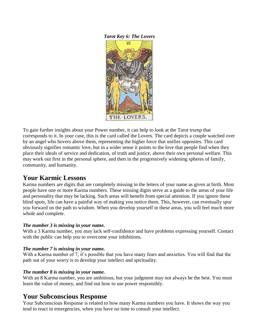*Tarot Key 6: The Lovers*



To gain further insights about your Power number, it can help to look at the Tarot trump that corresponds to it. In your case, this is the card called the Lovers. The card depicts a couple watched over by an angel who hovers above them, representing the higher force that unifies opposites. This card obviously signifies romantic love, but in a wider sense it points to the love that people find when they place their ideals of service and dedication, of truth and justice, above their own personal welfare. This may work out first in the personal sphere, and then in the progressively widening spheres of family, community, and humanity.

## **Your Karmic Lessons**

Karma numbers are digits that are completely missing in the letters of your name as given at birth. Most people have one or more Karma numbers. These missing digits serve as a guide to the areas of your life and personality that may be lacking. Such areas will benefit from special attention. If you ignore these blind spots, life can have a painful way of making you notice them. This, however, can eventually spur you forward on the path to wisdom. When you develop yourself in these areas, you will feel much more whole and complete.

#### *The number 3 is missing in your name.*

With a 3 Karma number, you may lack self-confidence and have problems expressing yourself. Contact with the public can help you to overcome your inhibitions.

#### *The number 7 is missing in your name.*

With a Karma number of 7, it's possible that you have many fears and anxieties. You will find that the path out of your worry is to develop your intellect and spirituality.

#### *The number 8 is missing in your name.*

With an 8 Karma number, you are ambitious, but your judgment may not always be the best. You must learn the value of money, and find out how to use power responsibly.

### **Your Subconscious Response**

Your Subconscious Response is related to how many Karma numbers you have. It shows the way you tend to react in emergencies, when you have no time to consult your intellect.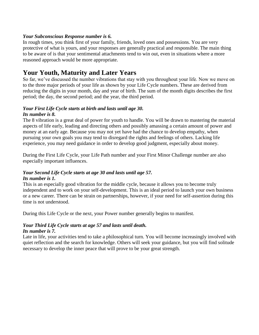#### *Your Subconscious Response number is 6.*

In rough times, you think first of your family, friends, loved ones and possessions. You are very protective of what is yours, and your responses are generally practical and responsible. The main thing to be aware of is that your sentimental attachments tend to win out, even in situations where a more reasoned approach would be more appropriate.

## **Your Youth, Maturity and Later Years**

So far, we've discussed the number vibrations that stay with you throughout your life. Now we move on to the three major periods of your life as shown by your Life Cycle numbers. These are derived from reducing the digits in your month, day and year of birth. The sum of the month digits describes the first period; the day, the second period; and the year, the third period.

#### *Your First Life Cycle starts at birth and lasts until age 30. Its number is 8.*

The 8 vibration is a great deal of power for youth to handle. You will be drawn to mastering the material aspects of life early, leading and directing others and possibly amassing a certain amount of power and money at an early age. Because you may not yet have had the chance to develop empathy, when pursuing your own goals you may tend to disregard the rights and feelings of others. Lacking life experience, you may need guidance in order to develop good judgment, especially about money.

During the First Life Cycle, your Life Path number and your First Minor Challenge number are also especially important influences.

#### *Your Second Life Cycle starts at age 30 and lasts until age 57. Its number is 1.*

This is an especially good vibration for the middle cycle, because it allows you to become truly independent and to work on your self-development. This is an ideal period to launch your own business or a new career. There can be strain on partnerships, however, if your need for self-assertion during this time is not understood.

During this Life Cycle or the next, your Power number generally begins to manifest.

#### *Your Third Life Cycle starts at age 57 and lasts until death. Its number is 7.*

Late in life, your activities tend to take a philosophical turn. You will become increasingly involved with quiet reflection and the search for knowledge. Others will seek your guidance, but you will find solitude necessary to develop the inner peace that will prove to be your great strength.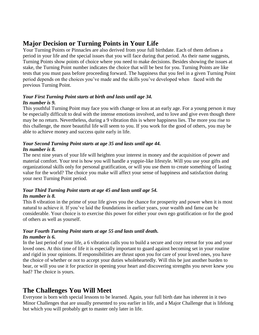# **Major Decision or Turning Points in Your Life**

Your Turning Points or Pinnacles are also derived from your full birthdate. Each of them defines a period in your life and the special issues that you will face during that period. As their name suggests, Turning Points show points of choice where you need to make decisions. Besides showing the issues at stake, the Turning Point number indicates the choice that will be best for you. Turning Points are like tests that you must pass before proceeding forward. The happiness that you feel in a given Turning Point period depends on the choices you've made and the skills you've developed when faced with the previous Turning Point.

#### *Your First Turning Point starts at birth and lasts until age 34. Its number is 9.*

This youthful Turning Point may face you with change or loss at an early age. For a young person it may be especially difficult to deal with the intense emotions involved, and to love and give even though there may be no return. Nevertheless, during a 9 vibration this is where happiness lies. The more you rise to this challenge, the more beautiful life will seem to you. If you work for the good of others, you may be able to achieve money and success quite early in life.

#### *Your Second Turning Point starts at age 35 and lasts until age 44. Its number is 8.*

The next nine years of your life will heighten your interest in money and the acquisition of power and material comfort. Your test is how you will handle a yuppie-like lifestyle. Will you use your gifts and organizational skills only for personal gratification, or will you use them to create something of lasting value for the world? The choice you make will affect your sense of happiness and satisfaction during your next Turning Point period.

#### *Your Third Turning Point starts at age 45 and lasts until age 54. Its number is 8.*

This 8 vibration in the prime of your life gives you the chance for prosperity and power when it is most natural to achieve it. If you've laid the foundations in earlier years, your wealth and fame can be considerable. Your choice is to exercise this power for either your own ego gratification or for the good of others as well as yourself.

#### *Your Fourth Turning Point starts at age 55 and lasts until death. Its number is 6.*

In the last period of your life, a 6 vibration calls you to build a secure and cozy retreat for you and your loved ones. At this time of life it is especially important to guard against becoming set in your routine and rigid in your opinions. If responsibilities are thrust upon you for care of your loved ones, you have the choice of whether or not to accept your duties wholeheartedly. Will this be just another burden to bear, or will you use it for practice in opening your heart and discovering strengths you never knew you had? The choice is yours.

# **The Challenges You Will Meet**

Everyone is born with special lessons to be learned. Again, your full birth date has inherent in it two Minor Challenges that are usually presented to you earlier in life, and a Major Challenge that is lifelong but which you will probably get to master only later in life.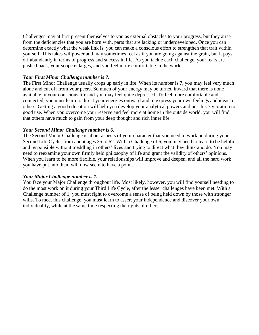Challenges may at first present themselves to you as external obstacles to your progress, but they arise from the deficiencies that you are born with, parts that are lacking or underdeveloped. Once you can determine exactly what the weak link is, you can make a conscious effort to strengthen that trait within yourself. This takes willpower and may sometimes feel as if you are going against the grain, but it pays off abundantly in terms of progress and success in life. As you tackle each challenge, your fears are pushed back, your scope enlarges, and you feel more comfortable in the world.

#### *Your First Minor Challenge number is 7.*

The First Minor Challenge usually crops up early in life. When its number is 7, you may feel very much alone and cut off from your peers. So much of your energy may be turned inward that there is none available in your conscious life and you may feel quite depressed. To feel more comfortable and connected, you must learn to direct your energies outward and to express your own feelings and ideas to others. Getting a good education will help you develop your analytical powers and put this 7 vibration to good use. When you overcome your reserve and feel more at home in the outside world, you will find that others have much to gain from your deep thought and rich inner life.

#### *Your Second Minor Challenge number is 6.*

The Second Minor Challenge is about aspects of your character that you need to work on during your Second Life Cycle, from about ages 35 to 62. With a Challenge of 6, you may need to learn to be helpful and responsible without meddling in others' lives and trying to direct what they think and do. You may need to reexamine your own firmly held philosophy of life and grant the validity of others' opinions. When you learn to be more flexible, your relationships will improve and deepen, and all the hard work you have put into them will now seem to have a point.

#### *Your Major Challenge number is 1.*

You face your Major Challenge throughout life. Most likely, however, you will find yourself needing to do the most work on it during your Third Life Cycle, after the lesser challenges have been met. With a Challenge number of 1, you must fight to overcome a sense of being held down by those with stronger wills. To meet this challenge, you must learn to assert your independence and discover your own individuality, while at the same time respecting the rights of others.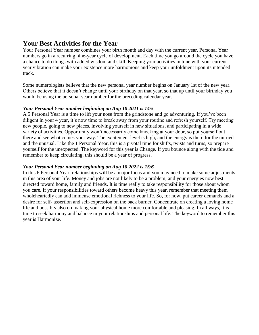### **Your Best Activities for the Year**

Your Personal Year number combines your birth month and day with the current year. Personal Year numbers go in a recurring nine-year cycle of development. Each time you go around the cycle you have a chance to do things with added wisdom and skill. Keeping your activities in tune with your current year vibration can make your existence more harmonious and keep your unfoldment upon its intended track.

Some numerologists believe that the new personal year number begins on January 1st of the new year. Others believe that it doesn't change until your birthday on that year, so that up until your birthday you would be using the personal year number for the preceding calendar year.

#### *Your Personal Year number beginning on Aug 10 2021 is 14/5*

A 5 Personal Year is a time to lift your nose from the grindstone and go adventuring. If you've been diligent in your 4 year, it's now time to break away from your routine and refresh yourself. Try meeting new people, going to new places, involving yourself in new situations, and participating in a wide variety of activities. Opportunity won't necessarily come knocking at your door, so put yourself out there and see what comes your way. The excitement level is high, and the energy is there for the untried and the unusual. Like the 1 Personal Year, this is a pivotal time for shifts, twists and turns, so prepare yourself for the unexpected. The keyword for this year is Change. If you bounce along with the tide and remember to keep circulating, this should be a year of progress.

#### *Your Personal Year number beginning on Aug 10 2022 is 15/6*

In this 6 Personal Year, relationships will be a major focus and you may need to make some adjustments in this area of your life. Money and jobs are not likely to be a problem, and your energies now best directed toward home, family and friends. It is time really to take responsibility for those about whom you care. If your responsibilities toward others become heavy this year, remember that meeting them wholeheartedly can add immense emotional richness to your life. So, for now, put career demands and a desire for self- assertion and self-expression on the back burner. Concentrate on creating a loving home life and possibly also on making your physical home more comfortable and pleasing. In all ways, it is time to seek harmony and balance in your relationships and personal life. The keyword to remember this year is Harmonize.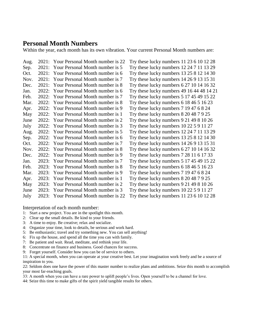### **Personal Month Numbers**

Within the year, each month has its own vibration. Your current Personal Month numbers are:

| Aug. |       | 2021: Your Personal Month number is 22 | Try these lucky numbers 11 23 6 10 12 28       |
|------|-------|----------------------------------------|------------------------------------------------|
| Sep. | 2021: | Your Personal Month number is 5        | Try these lucky numbers 12 24 7 11 13 29       |
| Oct. | 2021: | Your Personal Month number is 6        | Try these lucky numbers 13 25 8 12 14 30       |
| Nov. | 2021: | Your Personal Month number is 7        | Try these lucky numbers 14 26 9 13 15 31       |
| Dec. | 2021: | Your Personal Month number is 8        | Try these lucky numbers 6 27 10 14 16 32       |
| Jan. | 2022: | Your Personal Month number is 6        | Try these lucky numbers 49 16 44 48 14 2       |
| Feb. | 2022: | Your Personal Month number is 7        | Try these lucky numbers 5 17 45 49 15 22       |
| Mar. | 2022: | Your Personal Month number is 8        | Try these lucky numbers $6184651623$           |
| Apr. | 2022: | Your Personal Month number is 9        | Try these lucky numbers 7 19 47 6 8 24         |
| May  | 2022: | Your Personal Month number is 1        | Try these lucky numbers $820487925$            |
| June | 2022: | Your Personal Month number is 2        | Try these lucky numbers $9\,21\,49\,8\,10\,26$ |
| July | 2022: | Your Personal Month number is 3        | Try these lucky numbers 10 22 5 9 11 27        |
| Aug. | 2022: | Your Personal Month number is 5        | Try these lucky numbers 12 24 7 11 13 29       |
| Sep. | 2022: | Your Personal Month number is 6        | Try these lucky numbers 13 25 8 12 14 30       |
| Oct. | 2022: | Your Personal Month number is 7        | Try these lucky numbers 14 26 9 13 15 31       |
| Nov. | 2022: | Your Personal Month number is 8        | Try these lucky numbers $62710141632$          |
| Dec. | 2022: | Your Personal Month number is 9        | Try these lucky numbers 7 28 11 6 17 33        |
| Jan. | 2023: | Your Personal Month number is 7        | Try these lucky numbers 5 17 45 49 15 22       |
| Feb. | 2023: | Your Personal Month number is 8        | Try these lucky numbers $6184651623$           |
| Mar. | 2023: | Your Personal Month number is 9        | Try these lucky numbers 7 19 47 6 8 24         |
| Apr. | 2023: | Your Personal Month number is 1        | Try these lucky numbers 8 20 48 7 9 25         |
| May  | 2023: | Your Personal Month number is 2        | Try these lucky numbers $9214981026$           |
| June | 2023: | Your Personal Month number is 3        | Try these lucky numbers 10 22 5 9 11 27        |
| July |       | 2023: Your Personal Month number is 22 | Try these lucky numbers 11 23 6 10 12 28       |

Interpretation of each month number:

- 1: Start a new project. You are in the spotlight this month.
- 2: Clear up the small details. Be kind to your friends.
- 3: A time to enjoy. Be creative; relax and socialize.
- 4: Organize your time, look to details, be serious and work hard.
- 5: Be enthusiastic; travel and try something new. You can sell anything!
- 6: Fix up the house, and spend all the time you can with family.
- 7: Be patient and wait. Read, meditate, and rethink your life.
- 8: Concentrate on finance and business. Good chances for success.
- 9: Forget yourself. Consider how you can be of service to others.

11: A special month, when you can operate at your creative best. Let your imagination work freely and be a source of inspiration to you.

22: Seldom does one have the power of this master number to realize plans and ambitions. Seize this month to accomplish your most far-reaching goals.

33: A month when you can have a rare power to uplift people's lives. Open yourself to be a channel for love.

44: Seize this time to make gifts of the spirit yield tangible results for others.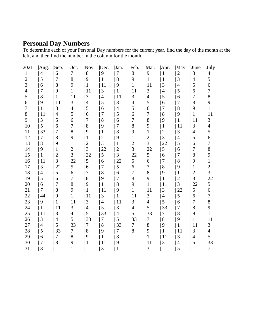## **Personal Day Numbers**

To determine each of your Personal Day numbers for the current year, find the day of the month at the left, and then find the number in the column for the month.

| 2021           | Aug.                     | Sep.           | Oct.           | Nov.           | Dec.           | Jan.           | Feb.           | Mar.           | Apr.           | May            | June             | <b>July</b>    |
|----------------|--------------------------|----------------|----------------|----------------|----------------|----------------|----------------|----------------|----------------|----------------|------------------|----------------|
| 1              | $\overline{\mathcal{A}}$ | 6              | $\tau$         | $8\,$          | 9              | 7              | 8              | 9              | 1              | $\mathbf{2}$   | 3                | 4              |
| $\overline{2}$ | 5                        | $\overline{7}$ | 8              | 9              | $\mathbf{1}$   | 8              | 9              | $\mathbf{1}$   | 11             | 3              | $\overline{4}$   | 5              |
| 3              | 6                        | 8              | 9              | 1              | 11             | 9              | $\mathbf{1}$   | 11             | 3              | $\overline{4}$ | 5                | 6              |
| 4              | 7                        | 9              |                | 11             | 3              | 1              | 11             | 3              | $\overline{4}$ | 5              | 6                | 7              |
| 5              | 8                        | 1              | 11             | 3              | $\overline{4}$ | 11             | 3              | $\overline{4}$ | 5              | 6              | $\boldsymbol{7}$ | 8              |
| 6              | 9                        | 11             | 3              | $\overline{4}$ | 5              | 3              | $\overline{4}$ | 5              | 6              | 7              | 8                | 9              |
| 7              | 1                        | 3              | $\overline{4}$ | 5              | 6              | $\overline{4}$ | 5              | 6              | 7              | 8              | 9                |                |
| 8              | 11                       | $\overline{4}$ | 5              | 6              | 7              | 5              | 6              | 7              | 8              | 9              | $\mathbf{1}$     | 11             |
| 9              | 3                        | 5              | 6              | 7              | 8              | 6              | 7              | 8              | 9              | $\mathbf{1}$   | 11               | 3              |
| 10             | 5                        | 6              | 7              | 8              | 9              | 7              | 8              | 9              | 1              | 11             | 3                | 4              |
| 11             | 33                       | 7              | 8              | 9              | $\mathbf{1}$   | 8              | 9              | $\mathbf{1}$   | $\mathbf{2}$   | 3              | $\overline{4}$   | 5              |
| 12             | 7                        | 8              | 9              | $\mathbf{1}$   | $\overline{c}$ | 9              | $\mathbf{1}$   | $\overline{2}$ | 3              | $\overline{4}$ | 5                | 6              |
| 13             | 8                        | 9              | $\mathbf 1$    | $\overline{2}$ | 3              | $\mathbf{1}$   | $\overline{c}$ | 3              | 22             | 5              | 6                | 7              |
| 14             | 9                        | $\mathbf{1}$   | $\overline{c}$ | 3              | 22             | $\overline{2}$ | 3              | 22             | 5              | 6              | $\overline{7}$   | 8              |
| 15             | 1                        | $\overline{c}$ | 3              | 22             | 5              | 3              | 22             | 5              | 6              | 7              | 8                | 9              |
| 16             | 11                       | 3              | 22             | 5              | 6              | 22             | 5              | 6              | 7              | 8              | 9                | 1              |
| 17             | 3                        | 22             | 5              | 6              | 7              | 5              | 6              | 7              | 8              | 9              | $\mathbf{1}$     | $\overline{c}$ |
| 18             | $\overline{4}$           | 5              | 6              | 7              | 8              | 6              | 7              | 8              | 9              | $\mathbf{1}$   | $\overline{c}$   | 3              |
| 19             | 5                        | 6              | 7              | 8              | 9              | 7              | 8              | 9              | 1              | $\overline{2}$ | 3                | 22             |
| 20             | $\boldsymbol{6}$         | 7              | 8              | 9              | $\mathbf{1}$   | 8              | 9              | 1              | 11             | 3              | 22               | 5              |
| 21             | 7                        | 8              | 9              | 1              | 11             | 9              | 1              | 11             | 3              | 22             | 5                | 6              |
| 22             | 44                       | 9              |                | 11             | 3              | 1              | 11             | 3              | $\overline{4}$ | $\mathfrak s$  | 6                | 7              |
| 23             | 9                        | 1              | 11             | 3              | $\overline{4}$ | 11             | 3              | $\overline{4}$ | 5              | 6              | $\boldsymbol{7}$ | 8              |
| 24             | 1                        | 11             | 3              | $\overline{4}$ | 5              | 3              | $\overline{4}$ | 5              | 33             | 7              | 8                | 9              |
| 25             | 11                       | 3              | $\overline{4}$ | 5              | 33             | $\overline{4}$ | 5              | 33             | $\tau$         | 8              | 9                |                |
| 26             | 3                        | $\overline{4}$ | 5              | 33             | 7              | 5              | 33             | 7              | $8\,$          | 9              | 1                | 11             |
| 27             | 4                        | 5              | 33             | 7              | 8              | 33             | 7              | 8              | 9              | 1              | 11               | 3              |
| 28             | 5                        | 33             | 7              | 8              | 9              | 7              | 8              | 9              | 1              | 11             | 3                | 4              |
| 29             | 6                        | 7              | 8              | 9              | 1              | 8              |                |                | 11             | 3              | $\overline{4}$   | 5              |
| 30             | 7                        | 8              | 9              | 1              | 11             | 9              |                | 11             | 3              | $\overline{4}$ | 5                | 33             |
| 31             | 8                        |                |                |                | 3              | 1              |                | 3              |                | 5              |                  | 7              |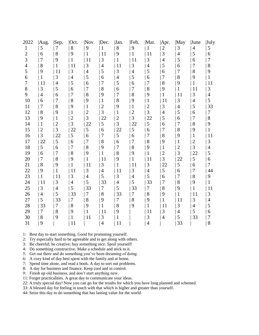| 2022           | Aug.           | Sep.           | Oct.           | Nov.           | Dec.           | Jan.           | Feb.           | Mar.           | Apr.           | May            | June           | <b>July</b> |
|----------------|----------------|----------------|----------------|----------------|----------------|----------------|----------------|----------------|----------------|----------------|----------------|-------------|
| 1              | 5              | 7              | 8              | 9              | 1              | 8              | 9              | 1              | $\overline{2}$ | 3              | $\overline{4}$ | 5           |
| $\overline{c}$ | 6              | 8              | 9              | 1              | 11             | 9              | $\mathbf{1}$   | 11             | 3              | $\overline{4}$ | 5              | 6           |
| 3              | 7              | 9              | 1              | 11             | 3              | $\mathbf{1}$   | 11             | 3              | $\overline{4}$ | 5              | 6              | 7           |
| 4              | 8              | 1              | 11             | 3              | $\overline{4}$ | 11             | 3              | $\overline{4}$ | 5              | 6              | 7              | 8           |
| 5              | 9              | 11             | 3              | $\overline{4}$ | 5              | 3              | $\overline{4}$ | 5              | 6              | $\overline{7}$ | 8              | 9           |
| 6              | 1              | 3              | $\overline{4}$ | 5              | 6              | $\overline{4}$ | 5              | 6              | 7              | 8              | 9              | 1           |
| 7              | 11             | $\overline{4}$ | 5              | 6              | 7              | 5              | 6              | 7              | 8              | 9              | 1              | 11          |
| 8              | 3              | 5              | 6              | 7              | 8              | 6              | 7              | 8              | 9              | $\mathbf{1}$   | 11             | 3           |
| 9              | $\overline{4}$ | 6              | 7              | 8              | 9              | 7              | 8              | 9              | $\mathbf{1}$   | 11             | 3              | 4           |
| 10             | 6              | 7              | 8              | 9              | $\mathbf 1$    | 8              | 9              | 1              | 11             | 3              | $\overline{4}$ | 5           |
| 11             | 7              | 8              | 9              | $\mathbf{1}$   | $\overline{2}$ | 9              | 1              | $\overline{2}$ | 3              | $\overline{4}$ | 5              | 33          |
| 12             | 8              | 9              | $\mathbf{1}$   | $\overline{c}$ | 3              | 1              | $\overline{2}$ | 3              | $\overline{4}$ | 5              | 6              | 7           |
| 13             | 9              | $\mathbf{1}$   | $\overline{2}$ | 3              | 22             | $\overline{2}$ | 3              | 22             | 5              | 6              | 7              | 8           |
| 14             | $\mathbf{1}$   | $\overline{2}$ | 3              | 22             | 5              | 3              | 22             | 5              | 6              | $\overline{7}$ | 8              | 9           |
| 15             | $\overline{c}$ | 3              | 22             | 5              | 6              | 22             | 5              | 6              | 7              | 8              | 9              | 1           |
| 16             | 3              | 22             | 5              | 6              | 7              | 5              | 6              | 7              | 8              | 9              | 1              | 11          |
| 17             | 22             | 5              | 6              | 7              | $8\,$          | 6              | 7              | $8\,$          | 9              | $\mathbf{1}$   | $\overline{c}$ | 3           |
| 18             | 5              | 6              | 7              | 8              | 9              | 7              | 8              | 9              | $\mathbf{1}$   | $\overline{c}$ | 3              | 4           |
| 19             | 6              | 7              | 8              | 9              | $\mathbf 1$    | 8              | 9              | 1              | $\mathbf{2}$   | 3              | 22             | 5           |
| 20             | 7              | 8              | 9              | 1              | 11             | 9              | 1              | 11             | 3              | 22             | $\mathfrak{S}$ | 6           |
| 21             | 8              | 9              | 1              | 11             | 3              | 1              | 11             | 3              | 22             | 5              | 6              | 7           |
| 22             | 9              | 1              | 11             | 3              | $\overline{4}$ | 11             | 3              | $\overline{4}$ | 5              | 6              | 7              | 44          |
| 23             | $\mathbf{1}$   | 11             | 3              | $\overline{4}$ | 5              | 3              | $\overline{4}$ | 5              | 6              | $\overline{7}$ | 8              | 9           |
| 24             | 11             | 3              | 4              | 5              | 33             | 4              | 5              | 33             | 7              | 8              | 9              |             |
| 25             | 3              | $\overline{4}$ | 5              | 33             | $\tau$         | 5              | 33             | 7              | 8              | 9              | 1              | 11          |
| 26             | $\overline{4}$ | 5              | 33             | 7              | 8              | 33             | 7              | $8\,$          | 9              | 1              | 11             | 3           |
| 27             | 5              | 33             | 7              | 8              | 9              | 7              | 8              | 9              | 1              | 11             | 3              | 4           |
| 28             | 33             | 7              | 8              | 9              | $\mathbf 1$    | 8              | 9              | 1              | 11             | 3              | $\overline{4}$ | 5           |
| 29             | 7              | 8              | 9              | 1              | 11             | 9              |                | 11             | 3              | $\overline{4}$ | 5              | 6           |
| 30             | 8              | 9              | 1              | 11             | 3              |                |                | 3              | $\overline{4}$ | 5              | 33             | 7           |
| 31             | 9              |                | 11             |                | $\overline{4}$ | 11             |                | $\overline{4}$ |                | 33             |                | 8           |

1: Best day to start something. Good for promoting yourself.

2: Try especially hard to be agreeable and to get along with others.

3: Be cheerful; be creative; buy something nice. Spoil yourself!

4: Do something constructive. Make a schedule and stick to it.

5: Get out there and do something you've been dreaming of doing.

6: A cozy kind of day best spent with the family and at home.

7: Spend time alone, and read a book. A day to sort out problems.

8: A day for business and finance. Keep cool and in control.

9: Finish up old business, and don't start anything new.

11: Forget practicalities. A great day to communicate your ideas.

22: A truly special day! Now you can go for the results for which you have long planned and schemed.

33: A blessed day for feeling in touch with that which is higher and greater than yourself.

44: Seize this day to do something that has lasting value for the world.